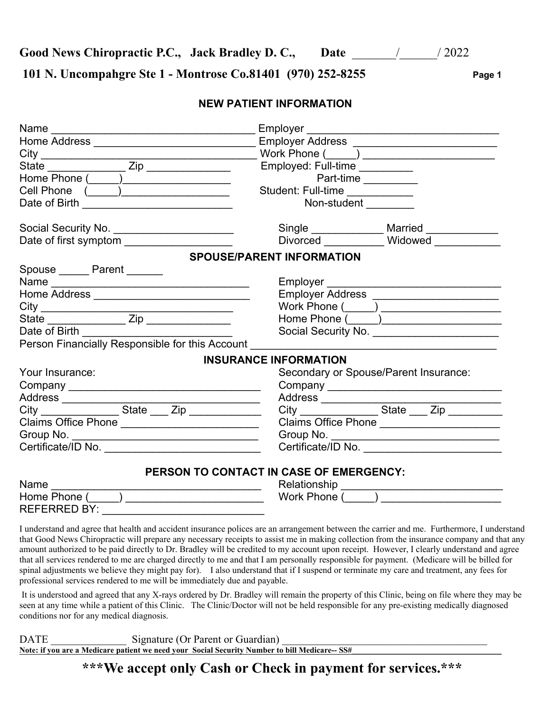Good News Chiropractic P.C., Jack Bradley D.C., Date *Date* / 2022

**101 N. Uncompahgre Ste 1 - Montrose Co.81401 (970) 252-8255 Page 1** 

#### **NEW PATIENT INFORMATION**

| Home Address <b>Committee Address</b>                                                                          |                                            |
|----------------------------------------------------------------------------------------------------------------|--------------------------------------------|
|                                                                                                                |                                            |
|                                                                                                                | Employed: Full-time __________             |
| Home Phone (Campaign Communication Communication Communication Communication Communication Communication       | Part-time                                  |
| Cell Phone ( ___ ) ___________________                                                                         | Student: Full-time                         |
|                                                                                                                | Non-student Non-                           |
| Social Security No. ________________________                                                                   | Single _____________ Married __________    |
| Date of first symptom _____________________                                                                    | Divorced Widowed                           |
|                                                                                                                | <b>SPOUSE/PARENT INFORMATION</b>           |
| Spouse ______ Parent _______                                                                                   |                                            |
|                                                                                                                |                                            |
| Home Address _______________________________                                                                   | Employer Address _______________________   |
|                                                                                                                | Work Phone ( _____) ______________________ |
|                                                                                                                |                                            |
| Date of Birth                                                                                                  |                                            |
| Person Financially Responsible for this Account example of the state of the state of the state of the state of |                                            |
|                                                                                                                | <b>INSURANCE INFORMATION</b>               |
| Your Insurance:                                                                                                | Secondary or Spouse/Parent Insurance:      |
|                                                                                                                |                                            |
|                                                                                                                |                                            |
|                                                                                                                |                                            |
| Claims Office Phone                                                                                            | Claims Office Phone ______________________ |
|                                                                                                                |                                            |
|                                                                                                                | Certificate/ID No.                         |
|                                                                                                                | PERSON TO CONTACT IN CASE OF EMERGENCY:    |
|                                                                                                                |                                            |
|                                                                                                                |                                            |
|                                                                                                                |                                            |
|                                                                                                                |                                            |

I understand and agree that health and accident insurance polices are an arrangement between the carrier and me. Furthermore, I understand that Good News Chiropractic will prepare any necessary receipts to assist me in making collection from the insurance company and that any amount authorized to be paid directly to Dr. Bradley will be credited to my account upon receipt. However, I clearly understand and agree that all services rendered to me are charged directly to me and that I am personally responsible for payment. (Medicare will be billed for spinal adjustments we believe they might pay for). I also understand that if I suspend or terminate my care and treatment, any fees for professional services rendered to me will be immediately due and payable.

 It is understood and agreed that any X-rays ordered by Dr. Bradley will remain the property of this Clinic, being on file where they may be seen at any time while a patient of this Clinic. The Clinic/Doctor will not be held responsible for any pre-existing medically diagnosed conditions nor for any medical diagnosis.

DATE Signature (Or Parent or Guardian) Note: if you are a Medicare patient we need your Social Security Number to bill Medicare-- SS#

**\*\*\*We accept only Cash or Check in payment for services.\*\*\***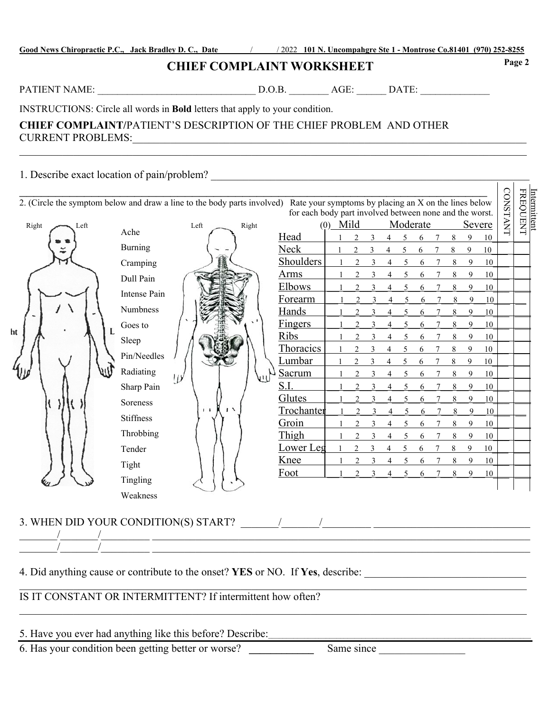| Good News Chiropractic P.C., Jack Bradley D.C., Date |  |  |
|------------------------------------------------------|--|--|
|                                                      |  |  |

**Good News Chiropractic P.C., Jack Bradley D. C., Date** \_\_\_\_\_\_\_/\_\_\_\_\_\_/ 2022 **101 N. Uncompahgre Ste 1 - Montrose Co.81401 (970) 252-8255** 

### **CHIEF COMPLAINT WORKSHEET**

PATIENT NAME: \_\_\_\_\_\_\_\_\_\_\_\_\_\_\_\_\_\_\_\_\_\_\_\_\_\_\_\_\_\_\_\_ D.O.B. \_\_\_\_\_\_\_\_ AGE: \_\_\_\_\_\_ DATE: \_\_\_\_\_\_\_\_\_\_\_\_\_\_

INSTRUCTIONS: Circle all words in **Bold** letters that apply to your condition.

#### **CHIEF COMPLAINT/**PATIENT'S DESCRIPTION OF THE CHIEF PROBLEM AND OTHER CURRENT PROBLEMS:

# 1. Describe exact location of pain/problem?  $\Box$

|                                      |                  | 2. (Circle the symptom below and draw a line to the body parts involved) Rate your symptoms by placing an X on the lines below | for each body part involved between none and the worst. |            |                             |   |   |                          |          |                 |   |        |        | CONSTANT | Intermittent<br>FREQUENT |
|--------------------------------------|------------------|--------------------------------------------------------------------------------------------------------------------------------|---------------------------------------------------------|------------|-----------------------------|---|---|--------------------------|----------|-----------------|---|--------|--------|----------|--------------------------|
| Right<br>Left                        | Ache             | Left<br>Right                                                                                                                  |                                                         | $(0)$ Mild |                             |   |   |                          | Moderate |                 |   | Severe |        |          |                          |
|                                      | Burning          |                                                                                                                                | Head                                                    |            | $\mathfrak{D}$              | 3 | 4 | 5                        | 6        | 7               | 8 | 9      | 10     |          |                          |
|                                      |                  |                                                                                                                                | Neck                                                    |            |                             |   |   | 5                        | 6        |                 | 8 | 9      | 10     |          |                          |
|                                      | Cramping         |                                                                                                                                | Shoulders                                               |            | $\mathcal{D}$               | 3 |   | $\overline{\phantom{0}}$ | 6        |                 | 8 | 9      | 10     |          |                          |
|                                      | Dull Pain        |                                                                                                                                | <b>Arms</b>                                             |            |                             |   |   | 5                        | 6        | 7               | 8 | 9      | 10     |          |                          |
|                                      | Intense Pain     |                                                                                                                                | <b>Elbows</b>                                           |            |                             |   |   | 5                        | 6        |                 | 8 | 9      | 10     |          |                          |
|                                      | Numbness         |                                                                                                                                | Forearm                                                 |            | $\overline{c}$              | 3 | 4 | 5                        | 6        | 7               | 8 | 9      | 10     |          |                          |
|                                      |                  |                                                                                                                                | Hands                                                   |            |                             |   | 4 | 5                        | 6        | $\tau$          | 8 | 9      | 10     |          |                          |
| L<br>ht                              | Goes to          |                                                                                                                                | <b>Fingers</b>                                          |            |                             |   |   | 5                        | 6        |                 | 8 | 9      | 10     |          |                          |
|                                      | Sleep            |                                                                                                                                | Ribs                                                    |            |                             |   |   | 5                        | 6        | 7               | 8 | 9      | 10     |          |                          |
|                                      | Pin/Needles      |                                                                                                                                | Thoracics                                               |            |                             | 3 |   | 5                        | 6        |                 | 8 | 9      | 10     |          |                          |
|                                      | Radiating        | w                                                                                                                              | <u>Lumbar</u>                                           |            | $\mathcal{D}_{\mathcal{L}}$ | 3 | 4 | 5                        | 6        |                 | 8 | 9      | 10     |          |                          |
|                                      |                  |                                                                                                                                | <b>Sacrum</b>                                           |            |                             | 3 |   | 5                        | 6        |                 | 8 | 9      | 10     |          |                          |
|                                      | Sharp Pain       |                                                                                                                                | S.I.                                                    |            |                             |   |   | 5                        | 6        |                 | 8 | 9      | $10\,$ |          |                          |
|                                      | Soreness         |                                                                                                                                | Glutes                                                  |            | $\mathfrak{D}$              |   |   | 5                        | 6        |                 | 8 | 9      | 10     |          |                          |
|                                      | <b>Stiffness</b> | $\sqrt{2}$<br>$1 - 1$                                                                                                          | Trochanter                                              |            |                             | 3 | 4 | 5                        | 6        |                 | 8 | 9      | 10     |          |                          |
|                                      |                  |                                                                                                                                | Groin                                                   |            | $\overline{2}$              | 3 | 4 | 5                        | 6        |                 | 8 | 9      | 10     |          |                          |
|                                      | Throbbing        |                                                                                                                                | Thigh                                                   |            |                             |   |   | 5                        | 6        | 7               | 8 | 9      | 10     |          |                          |
|                                      | Tender           |                                                                                                                                | Lower Leg                                               |            |                             |   |   |                          |          |                 | 8 | 9      | 10     |          |                          |
|                                      | Tight            |                                                                                                                                | Knee                                                    |            | $\mathcal{D}$               |   |   | $\overline{\mathcal{L}}$ | 6        | $7\phantom{.0}$ | 8 | 9      | 10     |          |                          |
|                                      | Tingling         |                                                                                                                                | Foot                                                    |            | $\overline{2}$              | 3 | 4 | 5                        | 6        |                 | 8 | 9      | 10     |          |                          |
|                                      |                  |                                                                                                                                |                                                         |            |                             |   |   |                          |          |                 |   |        |        |          |                          |
|                                      | Weakness         |                                                                                                                                |                                                         |            |                             |   |   |                          |          |                 |   |        |        |          |                          |
| 3. WHEN DID YOUR CONDITION(S) START? |                  |                                                                                                                                |                                                         |            |                             |   |   |                          |          |                 |   |        |        |          |                          |

 $\_$  , and the set of the set of the set of the set of the set of the set of the set of the set of the set of the set of the set of the set of the set of the set of the set of the set of the set of the set of the set of th

4. Did anything cause or contribute to the onset? **YES** or NO. If **Yes**, describe:

#### IS IT CONSTANT OR INTERMITTENT? If intermittent how often?

## 5. Have you ever had anything like this before? Describe:

\_\_\_\_\_\_\_/\_\_\_\_\_\_\_/\_\_\_\_\_\_\_\_\_ \_\_\_\_\_\_\_\_\_\_\_\_\_\_\_\_\_\_\_\_\_\_\_\_\_\_\_\_\_\_\_\_\_\_\_\_\_\_\_\_\_\_\_\_\_\_\_\_\_\_\_\_\_\_\_\_\_\_\_\_\_\_\_\_\_\_\_\_\_\_

6. Has your condition been getting better or worse? **\_\_\_\_\_\_\_\_\_\_\_\_** Same since \_\_\_\_\_\_\_\_\_\_\_\_\_\_\_\_

**Page 2**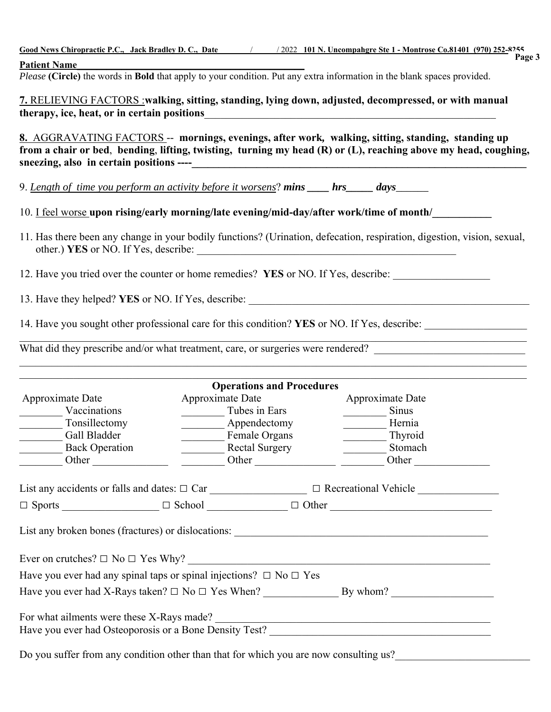|                                                                                                    |                                                                                                                                                | Good News Chiropractic P.C., Jack Bradley D.C., Date / 2022 101 N. Uncompahgre Ste 1 - Montrose Co.81401 (970) 252-8255<br>Page 3                                                                                             |  |  |  |
|----------------------------------------------------------------------------------------------------|------------------------------------------------------------------------------------------------------------------------------------------------|-------------------------------------------------------------------------------------------------------------------------------------------------------------------------------------------------------------------------------|--|--|--|
| <b>Patient Name</b>                                                                                |                                                                                                                                                |                                                                                                                                                                                                                               |  |  |  |
|                                                                                                    | <b>Fatient Name</b><br>Please (Circle) the words in Bold that apply to your condition. Put any extra information in the blank spaces provided. |                                                                                                                                                                                                                               |  |  |  |
|                                                                                                    | 7. RELIEVING FACTORS: walking, sitting, standing, lying down, adjusted, decompressed, or with manual                                           |                                                                                                                                                                                                                               |  |  |  |
| therapy, ice, heat, or in certain positions                                                        |                                                                                                                                                | <u> 1989 - Johann Stoff, deutscher Stoffen und der Stoffen und der Stoffen und der Stoffen und der Stoffen und der</u>                                                                                                        |  |  |  |
|                                                                                                    |                                                                                                                                                |                                                                                                                                                                                                                               |  |  |  |
|                                                                                                    |                                                                                                                                                | 8. AGGRAVATING FACTORS -- mornings, evenings, after work, walking, sitting, standing, standing up<br>from a chair or bed, bending, lifting, twisting, turning my head (R) or (L), reaching above my head, coughing,           |  |  |  |
| 9. <u>Length of time you perform an activity before it worsens</u> ? mins ____ hrs_____ days______ |                                                                                                                                                |                                                                                                                                                                                                                               |  |  |  |
|                                                                                                    |                                                                                                                                                | 10. I feel worse upon rising/early morning/late evening/mid-day/after work/time of month/                                                                                                                                     |  |  |  |
|                                                                                                    |                                                                                                                                                | 11. Has there been any change in your bodily functions? (Urination, defecation, respiration, digestion, vision, sexual,                                                                                                       |  |  |  |
|                                                                                                    |                                                                                                                                                | 12. Have you tried over the counter or home remedies? YES or NO. If Yes, describe:                                                                                                                                            |  |  |  |
|                                                                                                    |                                                                                                                                                |                                                                                                                                                                                                                               |  |  |  |
|                                                                                                    |                                                                                                                                                | 14. Have you sought other professional care for this condition? YES or NO. If Yes, describe: _________________                                                                                                                |  |  |  |
|                                                                                                    |                                                                                                                                                | What did they prescribe and/or what treatment, care, or surgeries were rendered?                                                                                                                                              |  |  |  |
|                                                                                                    |                                                                                                                                                | <u> 1989 - Johann John Stoff, deutscher Stoffen und der Stoffen und der Stoffen und der Stoffen und der Stoffen</u>                                                                                                           |  |  |  |
|                                                                                                    |                                                                                                                                                | the control of the control of the control of the control of the control of the control of the control of the control of the control of the control of the control of the control of the control of the control of the control |  |  |  |
|                                                                                                    | <b>Operations and Procedures</b>                                                                                                               |                                                                                                                                                                                                                               |  |  |  |
| Approximate Date                                                                                   | Approximate Date                                                                                                                               | Approximate Date                                                                                                                                                                                                              |  |  |  |
| Vaccinations                                                                                       | Tubes in Ears                                                                                                                                  | $\frac{\ }{\ }$ Sinus                                                                                                                                                                                                         |  |  |  |
| Tonsillectomy                                                                                      | Appendectomy                                                                                                                                   | Hernia                                                                                                                                                                                                                        |  |  |  |
| Gall Bladder                                                                                       | <b>Female Organs</b>                                                                                                                           | Thyroid                                                                                                                                                                                                                       |  |  |  |
| Back Operation                                                                                     | Rectal Surgery                                                                                                                                 | Stomach<br><u> 1980 - Jan Barbara III, martx</u>                                                                                                                                                                              |  |  |  |
|                                                                                                    |                                                                                                                                                | Other                                                                                                                                                                                                                         |  |  |  |
|                                                                                                    |                                                                                                                                                | List any accidents or falls and dates: $\Box$ Car $\Box$ $\Box$ Recreational Vehicle $\Box$                                                                                                                                   |  |  |  |
|                                                                                                    |                                                                                                                                                |                                                                                                                                                                                                                               |  |  |  |
|                                                                                                    |                                                                                                                                                |                                                                                                                                                                                                                               |  |  |  |
|                                                                                                    |                                                                                                                                                |                                                                                                                                                                                                                               |  |  |  |
| Have you ever had any spinal taps or spinal injections? $\Box$ No $\Box$ Yes                       |                                                                                                                                                |                                                                                                                                                                                                                               |  |  |  |
|                                                                                                    |                                                                                                                                                |                                                                                                                                                                                                                               |  |  |  |
| For what ailments were these X-Rays made?                                                          |                                                                                                                                                | For what ailments were these X-Rays made?<br>Have you ever had Osteoporosis or a Bone Density Test?                                                                                                                           |  |  |  |
| Do you suffer from any condition other than that for which you are now consulting us?              |                                                                                                                                                |                                                                                                                                                                                                                               |  |  |  |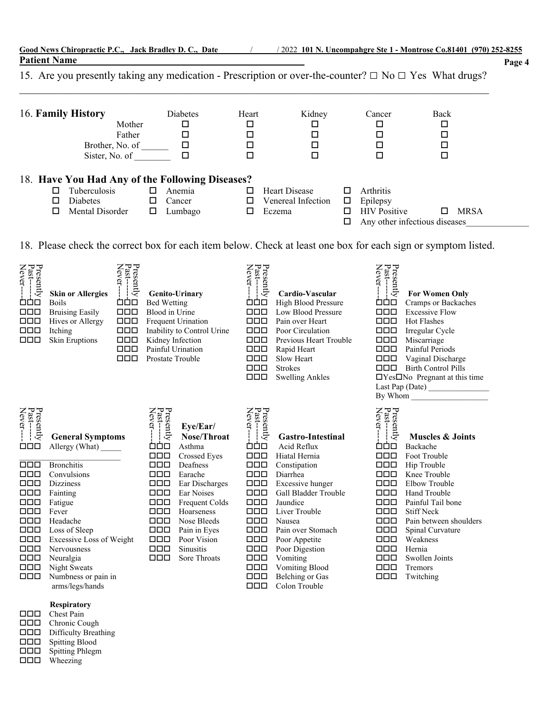| Good News Chiropractic P.C., Jack Bradlev D.C., Date |  |  | $\frac{1}{2022}$ 101 N. Uncompahgre Ste 1 - Montrose Co.81401 (970) 252-8255 |        |
|------------------------------------------------------|--|--|------------------------------------------------------------------------------|--------|
| <b>Patient Name</b>                                  |  |  |                                                                              | Page 4 |
|                                                      |  |  |                                                                              |        |

15. Are you presently taking any medication - Prescription or over-the-counter? □ No □ Yes What drugs?

| 16. Family History | Mother<br>Father<br>Brother, No. of<br>Sister, No. of |        | <b>Diabetes</b><br>□<br>□ | Heart | Kidney<br>□<br>□<br>□ |   | Cancer                        | Back<br>$\Box$<br>$\Box$ |             |  |
|--------------------|-------------------------------------------------------|--------|---------------------------|-------|-----------------------|---|-------------------------------|--------------------------|-------------|--|
|                    | 18. Have You Had Any of the Following Diseases?       |        |                           |       |                       |   |                               |                          |             |  |
|                    | Tuberculosis                                          |        | Anemia                    |       | Heart Disease         |   | Arthritis                     |                          |             |  |
| □                  | <b>Diabetes</b>                                       | $\Box$ | Cancer                    |       | Venereal Infection    | ப | Epilepsy                      |                          |             |  |
|                    | Mental Disorder                                       | □      | Lumbago                   |       | Eczema                |   | <b>HIV</b> Positive           | H                        | <b>MRSA</b> |  |
|                    |                                                       |        |                           |       |                       |   | Any other infectious diseases |                          |             |  |

18. Please check the correct box for each item below. Check at least one box for each sign or symptom listed.

| Presently<br>Past--------<br>Never----<br>凸白口<br>000<br>$\Box$<br>$\Box$<br>ᄆᄆ                                                                                                                  | Presently<br>Past--------<br>Never-<br><b>Skin or Allergies</b><br>حضض<br><b>Boils</b><br>$\Box$<br><b>Bruising Easily</b><br>Hives or Allergy<br><b>000</b><br>Itching<br><b>000</b><br>Skin Eruptions<br>000<br>000<br>$\Box$                                                         | Genito-Urinary<br><b>Bed Wetting</b><br>Blood in Urine<br><b>Frequent Urination</b><br>Inability to Control Urine<br>Kidney Infection<br>Painful Urination<br>Prostate Trouble                                                                                                                                                                                                                                                               | Presently<br>Past--------<br>Never---<br>Cardio-Vascular<br><b>888</b><br>High Blood Pressure<br>$\Box$<br>Low Blood Pressure<br>$\Box \Box \Box$<br>Pain over Heart<br>$\Box \Box \Box$<br>Poor Circulation<br>000<br>Previous Heart Trouble<br><b>000</b><br>Rapid Heart<br>$\Box \Box \Box$<br>Slow Heart<br><b>Strokes</b><br>000<br><b>Swelling Ankles</b><br><b>000</b>                                                                                                                                                                                        | Presently<br>Past--------<br>Never-----<br><b>For Women Only</b><br>مفق<br>Cramps or Backaches<br>$\Box$<br><b>Excessive Flow</b><br>$\Box$<br><b>Hot Flashes</b><br><b>000</b><br>Irregular Cycle<br><b>000</b><br>Miscarriage<br>$\Box$<br>Painful Periods<br>$\Box$<br>Vaginal Discharge<br>$\Box \Box \Box$<br><b>Birth Control Pills</b><br>$\Box$ Yes $\Box$ No Pregnant at this time                                                                                                      |
|-------------------------------------------------------------------------------------------------------------------------------------------------------------------------------------------------|-----------------------------------------------------------------------------------------------------------------------------------------------------------------------------------------------------------------------------------------------------------------------------------------|----------------------------------------------------------------------------------------------------------------------------------------------------------------------------------------------------------------------------------------------------------------------------------------------------------------------------------------------------------------------------------------------------------------------------------------------|----------------------------------------------------------------------------------------------------------------------------------------------------------------------------------------------------------------------------------------------------------------------------------------------------------------------------------------------------------------------------------------------------------------------------------------------------------------------------------------------------------------------------------------------------------------------|--------------------------------------------------------------------------------------------------------------------------------------------------------------------------------------------------------------------------------------------------------------------------------------------------------------------------------------------------------------------------------------------------------------------------------------------------------------------------------------------------|
| Presently<br>Past------<br>Never----<br>000<br><b>000</b><br>000<br>$\Box$<br>$\Box$<br>$\Box$<br>$\Box$<br>$\Box$<br>$\Box$<br>$\Box$<br>$\Box$<br>$\square\square\square$<br>$\Box$<br>$\Box$ | <b>General Symptoms</b><br>Allergy (What)<br><b>Bronchitis</b><br>Convulsions<br><b>Dizziness</b><br>Fainting<br>Fatigue<br>Fever<br>Headache<br>Loss of Sleep<br>Excessive Loss of Weight<br><b>Nervousness</b><br>Neuralgia<br>Night Sweats<br>Numbness or pain in<br>arms/legs/hands | Presently<br>Past---------<br>Never------<br>Eye/Ear/<br>Nose/Throat<br>ÒÒO<br>Asthma<br>$\Box \Box \Box$<br>Crossed Eyes<br>$\Box$<br>Deafness<br><b>DDD</b><br>Earache<br>000<br>Ear Discharges<br>$\Box \Box \Box$<br><b>Ear Noises</b><br>$\Box$<br>Frequent Colds<br>$\Box \Box \Box$<br>Hoarseness<br>$\Box$<br>Nose Bleeds<br>$\Box$<br>Pain in Eyes<br>$\Box$<br>Poor Vision<br>$\Box$<br><b>Sinusitis</b><br>$\Box$<br>Sore Throats | Presently<br>Past----<br>Never---<br><b>Gastro-Intestinal</b><br>Acid Reflux<br>ÒÒO<br>$\Box \Box \Box$<br>Hiatal Hernia<br>$\Box \Box \Box$<br>Constipation<br>$\Box \Box \Box$<br>Diarrhea<br>$\Box \Box \Box$<br>Excessive hunger<br>$\Box$<br>Gall Bladder Trouble<br>$\Box$<br>Jaundice<br>$\Box$<br>Liver Trouble<br>$\Box$<br>Nausea<br>000<br>Pain over Stomach<br>$\Box$<br>Poor Appetite<br>$\Box$<br>Poor Digestion<br>$\Box \Box \Box$<br>Vomiting<br><b>Vomiting Blood</b><br>000<br><b>Belching</b> or Gas<br>000<br>Colon Trouble<br>$\Box \Box \Box$ | Presently<br>Past---------<br>Never-----<br><b>Muscles &amp; Joints</b><br>ÒÒO<br>Backache<br>$\Box$<br>Foot Trouble<br>$\Box$<br>Hip Trouble<br>$\Box$<br>Knee Trouble<br>$\Box$<br>Elbow Trouble<br>$\Box$<br>Hand Trouble<br>$\Box$<br>Painful Tail bone<br>$\Box$<br><b>Stiff Neck</b><br>$\Box$<br>Pain between shoulders<br>000<br>Spinal Curvature<br>$\Box$<br>Weakness<br>$\Box \Box \Box$<br>Hernia<br>$\Box \Box \Box$<br>Swollen Joints<br>000<br>Tremors<br><b>000</b><br>Twitching |

 **Respiratory**

| 000 | Chest Pain             |
|-----|------------------------|
| 000 | Chronic Cough          |
| 000 | Difficulty Breathing   |
| 000 | <b>Spitting Blood</b>  |
| 000 | <b>Spitting Phlegm</b> |
| 000 | Wheezing               |